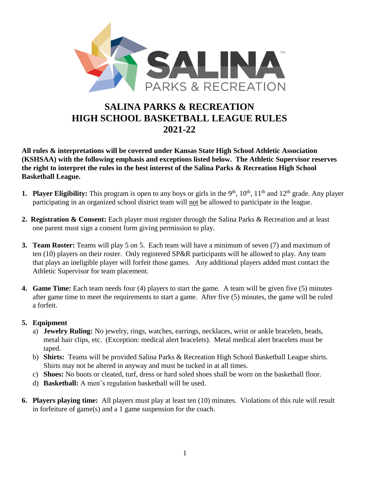

# **SALINA PARKS & RECREATION HIGH SCHOOL BASKETBALL LEAGUE RULES 2021-22**

**All rules & interpretations will be covered under Kansas State High School Athletic Association (KSHSAA) with the following emphasis and exceptions listed below. The Athletic Supervisor reserves the right to interpret the rules in the best interest of the Salina Parks & Recreation High School Basketball League.**

- **1. Player Eligibility:** This program is open to any boys or girls in the 9<sup>th</sup>,  $10^{th}$ ,  $11^{th}$  and  $12^{th}$  grade. Any player participating in an organized school district team will not be allowed to participate in the league.
- **2. Registration & Consent:** Each player must register through the Salina Parks & Recreation and at least one parent must sign a consent form giving permission to play.
- **3. Team Roster:** Teams will play 5 on 5. Each team will have a minimum of seven (7) and maximum of ten (10) players on their roster. Only registered SP&R participants will be allowed to play. Any team that plays an ineligible player will forfeit those games. Any additional players added must contact the Athletic Supervisor for team placement.
- **4. Game Time:** Each team needs four (4) players to start the game. A team will be given five (5) minutes after game time to meet the requirements to start a game. After five (5) minutes, the game will be ruled a forfeit.

#### **5. Equipment**

- a) **Jewelry Ruling:** No jewelry, rings, watches, earrings, necklaces, wrist or ankle bracelets, beads, metal hair clips, etc. (Exception: medical alert bracelets). Metal medical alert bracelets must be taped.
- b) **Shirts:** Teams will be provided Salina Parks & Recreation High School Basketball League shirts. Shirts may not be altered in anyway and must be tucked in at all times.
- c) **Shoes:** No boots or cleated, turf, dress or hard soled shoes shall be worn on the basketball floor.
- d) **Basketball:** A men's regulation basketball will be used.
- **6. Players playing time:** All players must play at least ten (10) minutes. Violations of this rule will result in forfeiture of game(s) and a 1 game suspension for the coach.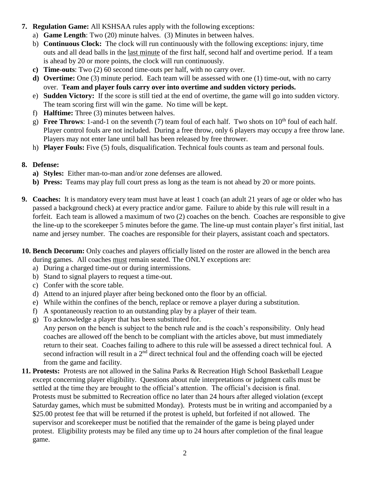- **7. Regulation Game:** All KSHSAA rules apply with the following exceptions:
	- a) **Game Length**: Two (20) minute halves. (3) Minutes in between halves.
	- b) **Continuous Clock:** The clock will run continuously with the following exceptions: injury, time outs and all dead balls in the last minute of the first half, second half and overtime period. If a team is ahead by 20 or more points, the clock will run continuously.
	- **c) Time-outs**: Two (2) 60 second time-outs per half, with no carry over.
	- **d) Overtime:** One (3) minute period. Each team will be assessed with one (1) time-out, with no carry over. **Team and player fouls carry over into overtime and sudden victory periods.**
	- e) **Sudden Victory:** If the score is still tied at the end of overtime, the game will go into sudden victory. The team scoring first will win the game. No time will be kept.
	- f) **Halftime:** Three (3) minutes between halves.
	- g) **Free Throws**: 1-and-1 on the seventh (7) team foul of each half. Two shots on  $10<sup>th</sup>$  foul of each half. Player control fouls are not included.During a free throw, only 6 players may occupy a free throw lane. Players may not enter lane until ball has been released by free thrower.
	- h) **Player Fouls:** Five (5) fouls, disqualification. Technical fouls counts as team and personal fouls.
- **8. Defense:**
	- **a) Styles:** Either man-to-man and/or zone defenses are allowed.
	- **b) Press:** Teams may play full court press as long as the team is not ahead by 20 or more points.
- **9. Coaches:** It is mandatory every team must have at least 1 coach (an adult 21 years of age or older who has passed a background check) at every practice and/or game. Failure to abide by this rule will result in a forfeit. Each team is allowed a maximum of two (2) coaches on the bench. Coaches are responsible to give the line-up to the scorekeeper 5 minutes before the game. The line-up must contain player's first initial, last name and jersey number. The coaches are responsible for their players, assistant coach and spectators.
- **10. Bench Decorum:** Only coaches and players officially listed on the roster are allowed in the bench area during games. All coaches must remain seated. The ONLY exceptions are:
	- a) During a charged time-out or during intermissions.
	- b) Stand to signal players to request a time-out.
	- c) Confer with the score table.
	- d) Attend to an injured player after being beckoned onto the floor by an official.
	- e) While within the confines of the bench, replace or remove a player during a substitution.
	- f) A spontaneously reaction to an outstanding play by a player of their team.
	- g) To acknowledge a player that has been substituted for.
		- Any person on the bench is subject to the bench rule and is the coach's responsibility. Only head coaches are allowed off the bench to be compliant with the articles above, but must immediately return to their seat. Coaches failing to adhere to this rule will be assessed a direct technical foul. A second infraction will result in a 2<sup>nd</sup> direct technical foul and the offending coach will be ejected from the game and facility.
- **11. Protests:** Protests are not allowed in the Salina Parks & Recreation High School Basketball League except concerning player eligibility.Questions about rule interpretations or judgment calls must be settled at the time they are brought to the official's attention. The official's decision is final. Protests must be submitted to Recreation office no later than 24 hours after alleged violation (except Saturday games, which must be submitted Monday). Protests must be in writing and accompanied by a \$25.00 protest fee that will be returned if the protest is upheld, but forfeited if not allowed. The supervisor and scorekeeper must be notified that the remainder of the game is being played under protest. Eligibility protests may be filed any time up to 24 hours after completion of the final league game.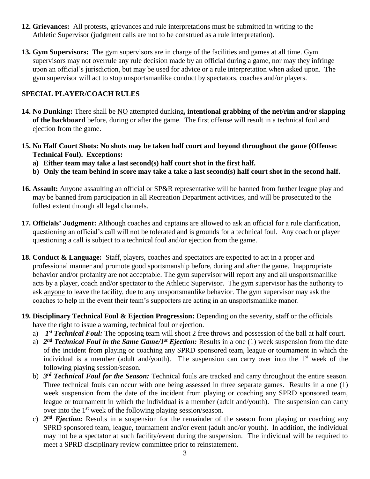- **12. Grievances:** All protests, grievances and rule interpretations must be submitted in writing to the Athletic Supervisor (judgment calls are not to be construed as a rule interpretation).
- **13. Gym Supervisors:** The gym supervisors are in charge of the facilities and games at all time. Gym supervisors may not overrule any rule decision made by an official during a game, nor may they infringe upon an official's jurisdiction, but may be used for advice or a rule interpretation when asked upon.The gym supervisor will act to stop unsportsmanlike conduct by spectators, coaches and/or players.

#### **SPECIAL PLAYER/COACH RULES**

- **14. No Dunking:** There shall be NO attempted dunking**, intentional grabbing of the net/rim and/or slapping of the backboard** before, during or after the game. The first offense will result in a technical foul and ejection from the game.
- **15. No Half Court Shots: No shots may be taken half court and beyond throughout the game (Offense: Technical Foul). Exceptions:**
	- **a) Either team may take a last second(s) half court shot in the first half.**
	- **b) Only the team behind in score may take a take a last second(s) half court shot in the second half.**
- **16. Assault:** Anyone assaulting an official or SP&R representative will be banned from further league play and may be banned from participation in all Recreation Department activities, and will be prosecuted to the fullest extent through all legal channels.
- **17. Officials' Judgment:** Although coaches and captains are allowed to ask an official for a rule clarification, questioning an official's call will not be tolerated and is grounds for a technical foul. Any coach or player questioning a call is subject to a technical foul and/or ejection from the game.
- **18. Conduct & Language:** Staff, players, coaches and spectators are expected to act in a proper and professional manner and promote good sportsmanship before, during and after the game. Inappropriate behavior and/or profanity are not acceptable. The gym supervisor will report any and all unsportsmanlike acts by a player, coach and/or spectator to the Athletic Supervisor. The gym supervisor has the authority to ask anyone to leave the facility, due to any unsportsmanlike behavior. The gym supervisor may ask the coaches to help in the event their team's supporters are acting in an unsportsmanlike manor.
- **19. Disciplinary Technical Foul & Ejection Progression:** Depending on the severity, staff or the officials have the right to issue a warning, technical foul or ejection.
	- a) *1<sup>st</sup> Technical Foul:* The opposing team will shoot 2 free throws and possession of the ball at half court.
	- a) 2<sup>nd</sup> **Technical Foul in the Same Game/1<sup>st</sup> Ejection:** Results in a one (1) week suspension from the date of the incident from playing or coaching any SPRD sponsored team, league or tournament in which the individual is a member (adult and/youth). The suspension can carry over into the  $1<sup>st</sup>$  week of the following playing session/season.
	- b) *3 rd Technical Foul for the Season:* Technical fouls are tracked and carry throughout the entire season. Three technical fouls can occur with one being assessed in three separate games. Results in a one (1) week suspension from the date of the incident from playing or coaching any SPRD sponsored team, league or tournament in which the individual is a member (adult and/youth). The suspension can carry over into the 1st week of the following playing session/season.
	- c)  $2^{nd}$  *Ejection:* Results in a suspension for the remainder of the season from playing or coaching any SPRD sponsored team, league, tournament and/or event (adult and/or youth). In addition, the individual may not be a spectator at such facility/event during the suspension. The individual will be required to meet a SPRD disciplinary review committee prior to reinstatement.